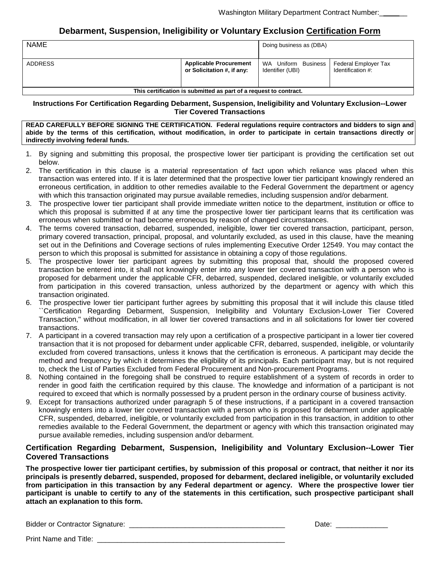### **Debarment, Suspension, Ineligibility or Voluntary Exclusion Certification Form**

| <b>NAME</b>                                                       |                                                             | Doing business as (DBA)                 |                                           |
|-------------------------------------------------------------------|-------------------------------------------------------------|-----------------------------------------|-------------------------------------------|
| <b>ADDRESS</b>                                                    | <b>Applicable Procurement</b><br>or Solicitation #, if any: | WA Uniform Business<br>Identifier (UBI) | Federal Employer Tax<br>Identification #: |
| This certification is submitted as part of a request to contract. |                                                             |                                         |                                           |

**Instructions For Certification Regarding Debarment, Suspension, Ineligibility and Voluntary Exclusion--Lower Tier Covered Transactions**

**READ CAREFULLY BEFORE SIGNING THE CERTIFICATION. Federal regulations require contractors and bidders to sign and abide by the terms of this certification, without modification, in order to participate in certain transactions directly or indirectly involving federal funds.**

- 1. By signing and submitting this proposal, the prospective lower tier participant is providing the certification set out below.
- 2. The certification in this clause is a material representation of fact upon which reliance was placed when this transaction was entered into. If it is later determined that the prospective lower tier participant knowingly rendered an erroneous certification, in addition to other remedies available to the Federal Government the department or agency with which this transaction originated may pursue available remedies, including suspension and/or debarment.
- 3. The prospective lower tier participant shall provide immediate written notice to the department, institution or office to which this proposal is submitted if at any time the prospective lower tier participant learns that its certification was erroneous when submitted or had become erroneous by reason of changed circumstances.
- 4. The terms covered transaction, debarred, suspended, ineligible, lower tier covered transaction, participant, person, primary covered transaction, principal, proposal, and voluntarily excluded, as used in this clause, have the meaning set out in the Definitions and Coverage sections of rules implementing Executive Order 12549. You may contact the person to which this proposal is submitted for assistance in obtaining a copy of those regulations.
- 5. The prospective lower tier participant agrees by submitting this proposal that, should the proposed covered transaction be entered into, it shall not knowingly enter into any lower tier covered transaction with a person who is proposed for debarment under the applicable CFR, debarred, suspended, declared ineligible, or voluntarily excluded from participation in this covered transaction, unless authorized by the department or agency with which this transaction originated.
- 6. The prospective lower tier participant further agrees by submitting this proposal that it will include this clause titled `Certification Regarding Debarment, Suspension, Ineligibility and Voluntary Exclusion-Lower Tier Covered Transaction,'' without modification, in all lower tier covered transactions and in all solicitations for lower tier covered transactions.
- 7. A participant in a covered transaction may rely upon a certification of a prospective participant in a lower tier covered transaction that it is not proposed for debarment under applicable CFR, debarred, suspended, ineligible, or voluntarily excluded from covered transactions, unless it knows that the certification is erroneous. A participant may decide the method and frequency by which it determines the eligibility of its principals. Each participant may, but is not required to, check the List of Parties Excluded from Federal Procurement and Non-procurement Programs.
- 8. Nothing contained in the foregoing shall be construed to require establishment of a system of records in order to render in good faith the certification required by this clause. The knowledge and information of a participant is not required to exceed that which is normally possessed by a prudent person in the ordinary course of business activity.
- 9. Except for transactions authorized under paragraph 5 of these instructions, if a participant in a covered transaction knowingly enters into a lower tier covered transaction with a person who is proposed for debarment under applicable CFR, suspended, debarred, ineligible, or voluntarily excluded from participation in this transaction, in addition to other remedies available to the Federal Government, the department or agency with which this transaction originated may pursue available remedies, including suspension and/or debarment.

#### **Certification Regarding Debarment, Suspension, Ineligibility and Voluntary Exclusion--Lower Tier Covered Transactions**

**The prospective lower tier participant certifies, by submission of this proposal or contract, that neither it nor its principals is presently debarred, suspended, proposed for debarment, declared ineligible, or voluntarily excluded from participation in this transaction by any Federal department or agency. Where the prospective lower tier participant is unable to certify to any of the statements in this certification, such prospective participant shall attach an explanation to this form.**

Bidder or Contractor Signature: \_\_\_\_\_\_\_\_\_\_\_\_\_\_\_\_\_\_\_\_\_\_\_\_\_\_\_\_\_\_\_\_\_\_\_\_\_\_\_ Date: \_\_\_\_\_\_\_\_\_\_\_\_\_

Print Name and Title: \_\_\_\_\_\_\_\_\_\_\_\_\_\_\_\_\_\_\_\_\_\_\_\_\_\_\_\_\_\_\_\_\_\_\_\_\_\_\_\_\_\_\_\_\_\_\_